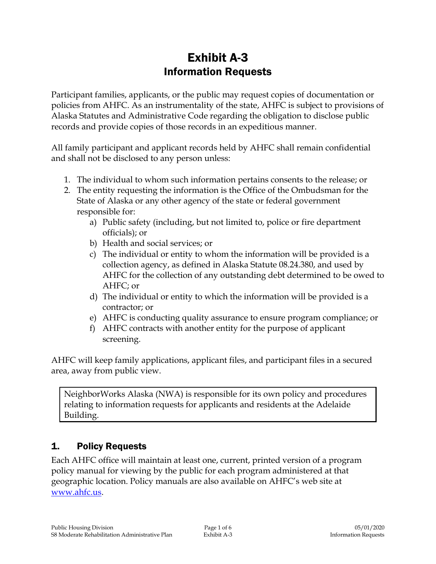# Exhibit A-3 Information Requests

Participant families, applicants, or the public may request copies of documentation or policies from AHFC. As an instrumentality of the state, AHFC is subject to provisions of Alaska Statutes and Administrative Code regarding the obligation to disclose public records and provide copies of those records in an expeditious manner.

All family participant and applicant records held by AHFC shall remain confidential and shall not be disclosed to any person unless:

- 1. The individual to whom such information pertains consents to the release; or
- 2. The entity requesting the information is the Office of the Ombudsman for the State of Alaska or any other agency of the state or federal government responsible for:
	- a) Public safety (including, but not limited to, police or fire department officials); or
	- b) Health and social services; or
	- c) The individual or entity to whom the information will be provided is a collection agency, as defined in Alaska Statute 08.24.380, and used by AHFC for the collection of any outstanding debt determined to be owed to AHFC; or
	- d) The individual or entity to which the information will be provided is a contractor; or
	- e) AHFC is conducting quality assurance to ensure program compliance; or
	- f) AHFC contracts with another entity for the purpose of applicant screening.

AHFC will keep family applications, applicant files, and participant files in a secured area, away from public view.

NeighborWorks Alaska (NWA) is responsible for its own policy and procedures relating to information requests for applicants and residents at the Adelaide Building.

## 1. Policy Requests

Each AHFC office will maintain at least one, current, printed version of a program policy manual for viewing by the public for each program administered at that geographic location. Policy manuals are also available on AHFC's web site at [www.ahfc.us.](http://www.ahfc.us/)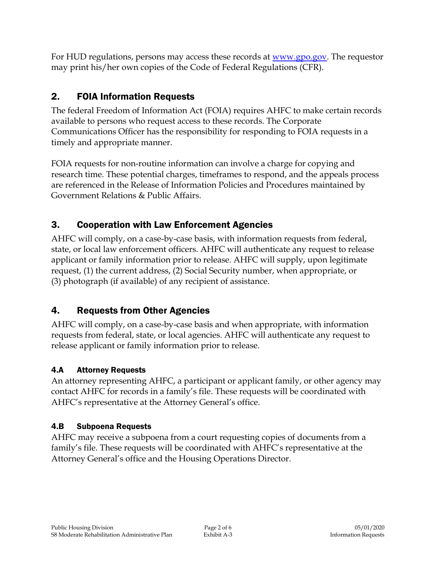For HUD regulations, persons may access these records at [www.gpo.gov.](http://www.gpo.gov/) The requestor may print his/her own copies of the Code of Federal Regulations (CFR).

## 2. FOIA Information Requests

The federal Freedom of Information Act (FOIA) requires AHFC to make certain records available to persons who request access to these records. The Corporate Communications Officer has the responsibility for responding to FOIA requests in a timely and appropriate manner.

FOIA requests for non-routine information can involve a charge for copying and research time. These potential charges, timeframes to respond, and the appeals process are referenced in the Release of Information Policies and Procedures maintained by Government Relations & Public Affairs.

# 3. Cooperation with Law Enforcement Agencies

AHFC will comply, on a case-by-case basis, with information requests from federal, state, or local law enforcement officers. AHFC will authenticate any request to release applicant or family information prior to release. AHFC will supply, upon legitimate request, (1) the current address, (2) Social Security number, when appropriate, or (3) photograph (if available) of any recipient of assistance.

# 4. Requests from Other Agencies

AHFC will comply, on a case-by-case basis and when appropriate, with information requests from federal, state, or local agencies. AHFC will authenticate any request to release applicant or family information prior to release.

## 4.A Attorney Requests

An attorney representing AHFC, a participant or applicant family, or other agency may contact AHFC for records in a family's file. These requests will be coordinated with AHFC's representative at the Attorney General's office.

## 4.B Subpoena Requests

AHFC may receive a subpoena from a court requesting copies of documents from a family's file. These requests will be coordinated with AHFC's representative at the Attorney General's office and the Housing Operations Director.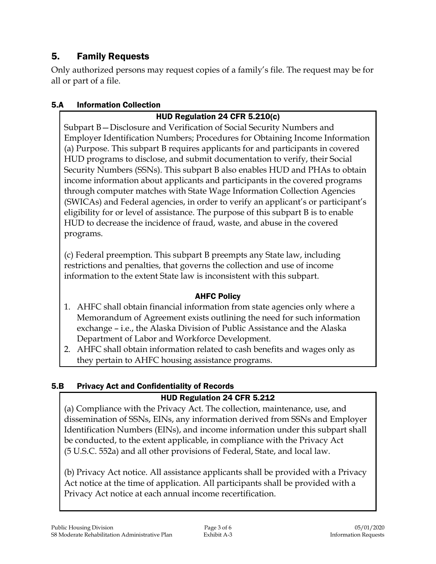## 5. Family Requests

Only authorized persons may request copies of a family's file. The request may be for all or part of a file.

#### 5.A Information Collection

### HUD Regulation 24 CFR 5.210(c)

Subpart B—Disclosure and Verification of Social Security Numbers and Employer Identification Numbers; Procedures for Obtaining Income Information (a) Purpose. This subpart B requires applicants for and participants in covered HUD programs to disclose, and submit documentation to verify, their Social Security Numbers (SSNs). This subpart B also enables HUD and PHAs to obtain income information about applicants and participants in the covered programs through computer matches with State Wage Information Collection Agencies (SWICAs) and Federal agencies, in order to verify an applicant's or participant's eligibility for or level of assistance. The purpose of this subpart B is to enable HUD to decrease the incidence of fraud, waste, and abuse in the covered programs.

(c) Federal preemption. This subpart B preempts any State law, including restrictions and penalties, that governs the collection and use of income information to the extent State law is inconsistent with this subpart.

### AHFC Policy

- 1. AHFC shall obtain financial information from state agencies only where a Memorandum of Agreement exists outlining the need for such information exchange – i.e., the Alaska Division of Public Assistance and the Alaska Department of Labor and Workforce Development.
- 2. AHFC shall obtain information related to cash benefits and wages only as they pertain to AHFC housing assistance programs.

#### 5.B Privacy Act and Confidentiality of Records

### HUD Regulation 24 CFR 5.212

(a) Compliance with the Privacy Act. The collection, maintenance, use, and dissemination of SSNs, EINs, any information derived from SSNs and Employer Identification Numbers (EINs), and income information under this subpart shall be conducted, to the extent applicable, in compliance with the Privacy Act (5 U.S.C. 552a) and all other provisions of Federal, State, and local law.

(b) Privacy Act notice. All assistance applicants shall be provided with a Privacy Act notice at the time of application. All participants shall be provided with a Privacy Act notice at each annual income recertification.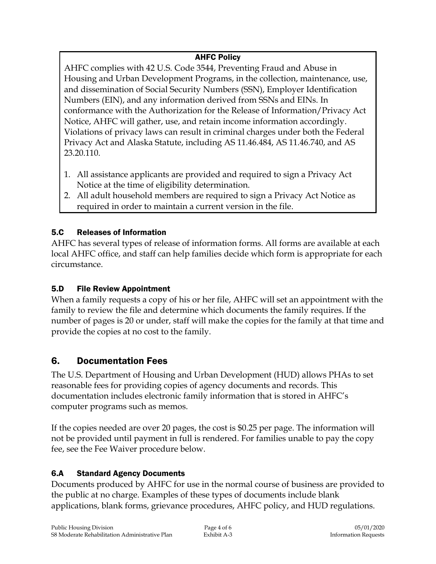### AHFC Policy

AHFC complies with 42 U.S. Code 3544, Preventing Fraud and Abuse in Housing and Urban Development Programs, in the collection, maintenance, use, and dissemination of Social Security Numbers (SSN), Employer Identification Numbers (EIN), and any information derived from SSNs and EINs. In conformance with the Authorization for the Release of Information/Privacy Act Notice, AHFC will gather, use, and retain income information accordingly. Violations of privacy laws can result in criminal charges under both the Federal Privacy Act and Alaska Statute, including AS 11.46.484, AS 11.46.740, and AS 23.20.110.

- 1. All assistance applicants are provided and required to sign a Privacy Act Notice at the time of eligibility determination.
- 2. All adult household members are required to sign a Privacy Act Notice as required in order to maintain a current version in the file.

## 5.C Releases of Information

AHFC has several types of release of information forms. All forms are available at each local AHFC office, and staff can help families decide which form is appropriate for each circumstance.

## 5.D File Review Appointment

When a family requests a copy of his or her file, AHFC will set an appointment with the family to review the file and determine which documents the family requires. If the number of pages is 20 or under, staff will make the copies for the family at that time and provide the copies at no cost to the family.

## 6. Documentation Fees

The U.S. Department of Housing and Urban Development (HUD) allows PHAs to set reasonable fees for providing copies of agency documents and records. This documentation includes electronic family information that is stored in AHFC's computer programs such as memos.

If the copies needed are over 20 pages, the cost is \$0.25 per page. The information will not be provided until payment in full is rendered. For families unable to pay the copy fee, see the Fee Waiver procedure below.

## 6.A Standard Agency Documents

Documents produced by AHFC for use in the normal course of business are provided to the public at no charge. Examples of these types of documents include blank applications, blank forms, grievance procedures, AHFC policy, and HUD regulations.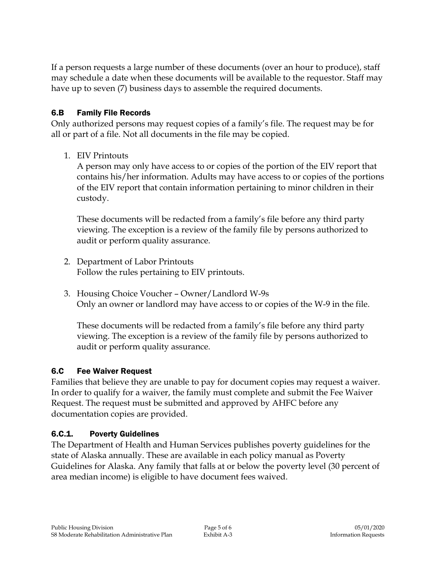If a person requests a large number of these documents (over an hour to produce), staff may schedule a date when these documents will be available to the requestor. Staff may have up to seven (7) business days to assemble the required documents.

#### 6.B Family File Records

Only authorized persons may request copies of a family's file. The request may be for all or part of a file. Not all documents in the file may be copied.

#### 1. EIV Printouts

A person may only have access to or copies of the portion of the EIV report that contains his/her information. Adults may have access to or copies of the portions of the EIV report that contain information pertaining to minor children in their custody.

These documents will be redacted from a family's file before any third party viewing. The exception is a review of the family file by persons authorized to audit or perform quality assurance.

- 2. Department of Labor Printouts Follow the rules pertaining to EIV printouts.
- 3. Housing Choice Voucher Owner/Landlord W-9s Only an owner or landlord may have access to or copies of the W-9 in the file.

These documents will be redacted from a family's file before any third party viewing. The exception is a review of the family file by persons authorized to audit or perform quality assurance.

#### 6.C Fee Waiver Request

Families that believe they are unable to pay for document copies may request a waiver. In order to qualify for a waiver, the family must complete and submit the Fee Waiver Request. The request must be submitted and approved by AHFC before any documentation copies are provided.

### 6.C.1. Poverty Guidelines

The Department of Health and Human Services publishes poverty guidelines for the state of Alaska annually. These are available in each policy manual as Poverty Guidelines for Alaska. Any family that falls at or below the poverty level (30 percent of area median income) is eligible to have document fees waived.